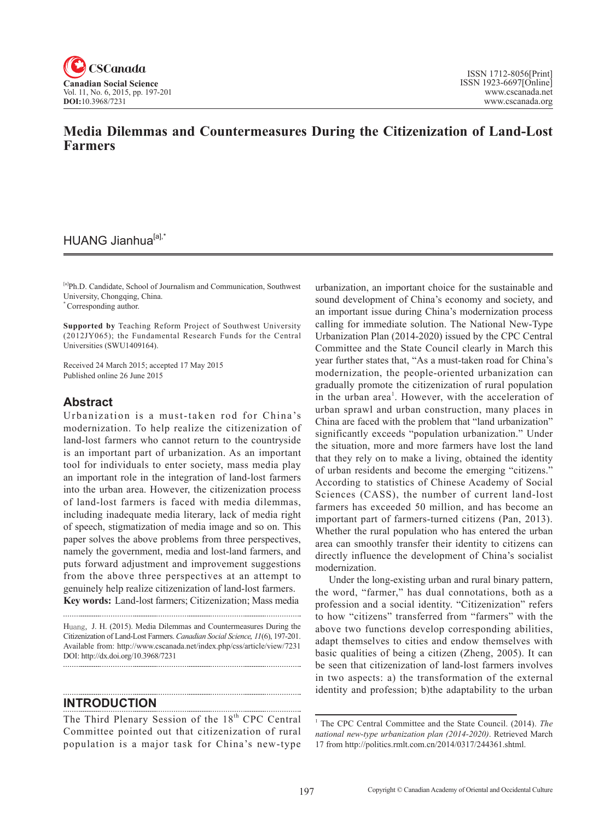

## **Media Dilemmas and Countermeasures During the Citizenization of Land-Lost Farmers**

## HUANG Jianhua<sup>[a],\*</sup>

[a]Ph.D. Candidate, School of Journalism and Communication, Southwest University, Chongqing, China.

\* Corresponding author.

**Supported by** Teaching Reform Project of Southwest University (2012JY065); the Fundamental Research Funds for the Central Universities (SWU1409164).

Received 24 March 2015; accepted 17 May 2015 Published online 26 June 2015

### **Abstract**

Urbanization is a must-taken rod for China's modernization. To help realize the citizenization of land-lost farmers who cannot return to the countryside is an important part of urbanization. As an important tool for individuals to enter society, mass media play an important role in the integration of land-lost farmers into the urban area. However, the citizenization process of land-lost farmers is faced with media dilemmas, including inadequate media literary, lack of media right of speech, stigmatization of media image and so on. This paper solves the above problems from three perspectives, namely the government, media and lost-land farmers, and puts forward adjustment and improvement suggestions from the above three perspectives at an attempt to genuinely help realize citizenization of land-lost farmers. **Key words:** Land-lost farmers; Citizenization; Mass media

Huang, J. H. (2015). Media Dilemmas and Countermeasures During the Citizenization of Land-Lost Farmers. *Canadian Social Science*, <sup>11</sup>(6), 197-201. Available from: http://www.cscanada.net/index.php/css/article/view/7231 DOI: http://dx.doi.org/10.3968/7231

**INTRODUCTION** 

The Third Plenary Session of the 18<sup>th</sup> CPC Central Committee pointed out that citizenization of rural population is a major task for China's new-type

urbanization, an important choice for the sustainable and sound development of China's economy and society, and an important issue during China's modernization process calling for immediate solution. The National New-Type Urbanization Plan (2014-2020) issued by the CPC Central Committee and the State Council clearly in March this year further states that, "As a must-taken road for China's modernization, the people-oriented urbanization can gradually promote the citizenization of rural population in the urban area<sup>1</sup>. However, with the acceleration of urban sprawl and urban construction, many places in China are faced with the problem that "land urbanization" significantly exceeds "population urbanization." Under the situation, more and more farmers have lost the land that they rely on to make a living, obtained the identity of urban residents and become the emerging "citizens." According to statistics of Chinese Academy of Social Sciences (CASS), the number of current land-lost farmers has exceeded 50 million, and has become an important part of farmers-turned citizens (Pan, 2013). Whether the rural population who has entered the urban area can smoothly transfer their identity to citizens can directly influence the development of China's socialist modernization.

Under the long-existing urban and rural binary pattern, the word, "farmer," has dual connotations, both as a profession and a social identity. "Citizenization" refers to how "citizens" transferred from "farmers" with the above two functions develop corresponding abilities, adapt themselves to cities and endow themselves with basic qualities of being a citizen (Zheng, 2005). It can be seen that citizenization of land-lost farmers involves in two aspects: a) the transformation of the external identity and profession; b)the adaptability to the urban

<sup>&</sup>lt;sup>1</sup> The CPC Central Committee and the State Council. (2014). *The national new-type urbanization plan (2014-2020)*. Retrieved March 17 from http://politics.rmlt.com.cn/2014/0317/244361.shtml.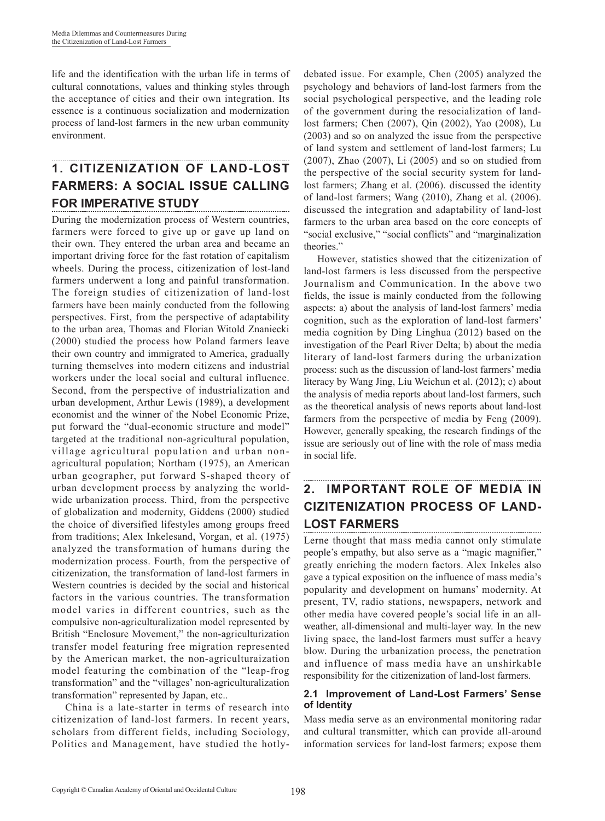life and the identification with the urban life in terms of cultural connotations, values and thinking styles through the acceptance of cities and their own integration. Its essence is a continuous socialization and modernization process of land-lost farmers in the new urban community environment.

#### **1. CITIZENIZATION OF LAND-LOST FARMERS: A SOCIAL ISSUE CALLING FOR IMPERATIVE STUDY**  -------------------------------------

During the modernization process of Western countries, farmers were forced to give up or gave up land on their own. They entered the urban area and became an important driving force for the fast rotation of capitalism wheels. During the process, citizenization of lost-land farmers underwent a long and painful transformation. The foreign studies of citizenization of land-lost farmers have been mainly conducted from the following perspectives. First, from the perspective of adaptability to the urban area, Thomas and Florian Witold Znaniecki (2000) studied the process how Poland farmers leave their own country and immigrated to America, gradually turning themselves into modern citizens and industrial workers under the local social and cultural influence. Second, from the perspective of industrialization and urban development, Arthur Lewis (1989), a development economist and the winner of the Nobel Economic Prize, put forward the "dual-economic structure and model" targeted at the traditional non-agricultural population, village agricultural population and urban nonagricultural population; Northam (1975), an American urban geographer, put forward S-shaped theory of urban development process by analyzing the worldwide urbanization process. Third, from the perspective of globalization and modernity, Giddens (2000) studied the choice of diversified lifestyles among groups freed from traditions; Alex Inkelesand, Vorgan, et al. (1975) analyzed the transformation of humans during the modernization process. Fourth, from the perspective of citizenization, the transformation of land-lost farmers in Western countries is decided by the social and historical factors in the various countries. The transformation model varies in different countries, such as the compulsive non-agriculturalization model represented by British "Enclosure Movement," the non-agriculturization transfer model featuring free migration represented by the American market, the non-agriculturaization model featuring the combination of the "leap-frog transformation" and the "villages' non-agriculturalization transformation" represented by Japan, etc..

China is a late-starter in terms of research into citizenization of land-lost farmers. In recent years, scholars from different fields, including Sociology, Politics and Management, have studied the hotlydebated issue. For example, Chen (2005) analyzed the psychology and behaviors of land-lost farmers from the social psychological perspective, and the leading role of the government during the resocialization of landlost farmers; Chen (2007), Qin (2002), Yao (2008), Lu (2003) and so on analyzed the issue from the perspective of land system and settlement of land-lost farmers; Lu (2007), Zhao (2007), Li (2005) and so on studied from the perspective of the social security system for landlost farmers; Zhang et al. (2006). discussed the identity of land-lost farmers; Wang (2010), Zhang et al. (2006). discussed the integration and adaptability of land-lost farmers to the urban area based on the core concepts of "social exclusive," "social conflicts" and "marginalization theories."

However, statistics showed that the citizenization of land-lost farmers is less discussed from the perspective Journalism and Communication. In the above two fields, the issue is mainly conducted from the following aspects: a) about the analysis of land-lost farmers' media cognition, such as the exploration of land-lost farmers' media cognition by Ding Linghua (2012) based on the investigation of the Pearl River Delta; b) about the media literary of land-lost farmers during the urbanization process: such as the discussion of land-lost farmers' media literacy by Wang Jing, Liu Weichun et al. (2012); c) about the analysis of media reports about land-lost farmers, such as the theoretical analysis of news reports about land-lost farmers from the perspective of media by Feng (2009). However, generally speaking, the research findings of the issue are seriously out of line with the role of mass media in social life.

#### **2. IMPORTANT ROLE OF MEDIA IN CIZITENIZATION PROCESS OF LAND-LOST FARMERS**

Lerne thought that mass media cannot only stimulate people's empathy, but also serve as a "magic magnifier," greatly enriching the modern factors. Alex Inkeles also gave a typical exposition on the influence of mass media's popularity and development on humans' modernity. At present, TV, radio stations, newspapers, network and other media have covered people's social life in an allweather, all-dimensional and multi-layer way. In the new living space, the land-lost farmers must suffer a heavy blow. During the urbanization process, the penetration and influence of mass media have an unshirkable responsibility for the citizenization of land-lost farmers.

#### **2.1 Improvement of Land-Lost Farmers' Sense of Identity**

Mass media serve as an environmental monitoring radar and cultural transmitter, which can provide all-around information services for land-lost farmers; expose them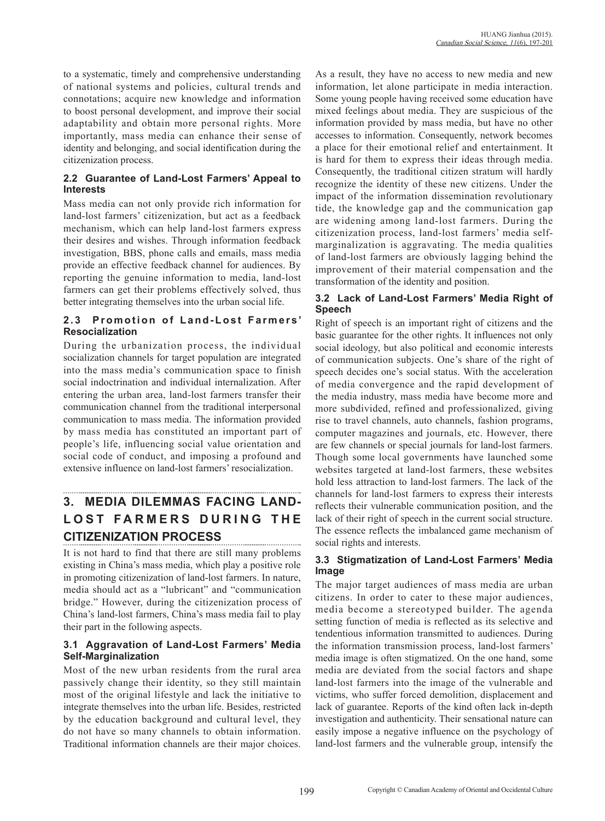to a systematic, timely and comprehensive understanding of national systems and policies, cultural trends and connotations; acquire new knowledge and information to boost personal development, and improve their social adaptability and obtain more personal rights. More importantly, mass media can enhance their sense of identity and belonging, and social identification during the citizenization process.

#### **2.2 Guarantee of Land-Lost Farmers' Appeal to Interests**

Mass media can not only provide rich information for land-lost farmers' citizenization, but act as a feedback mechanism, which can help land-lost farmers express their desires and wishes. Through information feedback investigation, BBS, phone calls and emails, mass media provide an effective feedback channel for audiences. By reporting the genuine information to media, land-lost farmers can get their problems effectively solved, thus better integrating themselves into the urban social life.

#### 2.3 Promotion of Land-Lost Farmers' **Resocialization**

During the urbanization process, the individual socialization channels for target population are integrated into the mass media's communication space to finish social indoctrination and individual internalization. After entering the urban area, land-lost farmers transfer their communication channel from the traditional interpersonal communication to mass media. The information provided by mass media has constituted an important part of people's life, influencing social value orientation and social code of conduct, and imposing a profound and extensive influence on land-lost farmers' resocialization.

# **3. MEDIA DILEMMAS FACING LAND-LOST FARMERS DURING THE CITIZENIZATION PROCESS**

It is not hard to find that there are still many problems existing in China's mass media, which play a positive role in promoting citizenization of land-lost farmers. In nature, media should act as a "lubricant" and "communication bridge." However, during the citizenization process of China's land-lost farmers, China's mass media fail to play their part in the following aspects.

#### **3.1 Aggravation of Land-Lost Farmers' Media Self-Marginalization**

Most of the new urban residents from the rural area passively change their identity, so they still maintain most of the original lifestyle and lack the initiative to integrate themselves into the urban life. Besides, restricted by the education background and cultural level, they do not have so many channels to obtain information. Traditional information channels are their major choices.

As a result, they have no access to new media and new information, let alone participate in media interaction. Some young people having received some education have mixed feelings about media. They are suspicious of the information provided by mass media, but have no other accesses to information. Consequently, network becomes a place for their emotional relief and entertainment. It is hard for them to express their ideas through media. Consequently, the traditional citizen stratum will hardly recognize the identity of these new citizens. Under the impact of the information dissemination revolutionary tide, the knowledge gap and the communication gap are widening among land-lost farmers. During the citizenization process, land-lost farmers' media selfmarginalization is aggravating. The media qualities of land-lost farmers are obviously lagging behind the improvement of their material compensation and the transformation of the identity and position.

#### **3.2 Lack of Land-Lost Farmers' Media Right of Speech**

Right of speech is an important right of citizens and the basic guarantee for the other rights. It influences not only social ideology, but also political and economic interests of communication subjects. One's share of the right of speech decides one's social status. With the acceleration of media convergence and the rapid development of the media industry, mass media have become more and more subdivided, refined and professionalized, giving rise to travel channels, auto channels, fashion programs, computer magazines and journals, etc. However, there are few channels or special journals for land-lost farmers. Though some local governments have launched some websites targeted at land-lost farmers, these websites hold less attraction to land-lost farmers. The lack of the channels for land-lost farmers to express their interests reflects their vulnerable communication position, and the lack of their right of speech in the current social structure. The essence reflects the imbalanced game mechanism of social rights and interests.

#### **3.3 Stigmatization of Land-Lost Farmers' Media Image**

The major target audiences of mass media are urban citizens. In order to cater to these major audiences, media become a stereotyped builder. The agenda setting function of media is reflected as its selective and tendentious information transmitted to audiences. During the information transmission process, land-lost farmers' media image is often stigmatized. On the one hand, some media are deviated from the social factors and shape land-lost farmers into the image of the vulnerable and victims, who suffer forced demolition, displacement and lack of guarantee. Reports of the kind often lack in-depth investigation and authenticity. Their sensational nature can easily impose a negative influence on the psychology of land-lost farmers and the vulnerable group, intensify the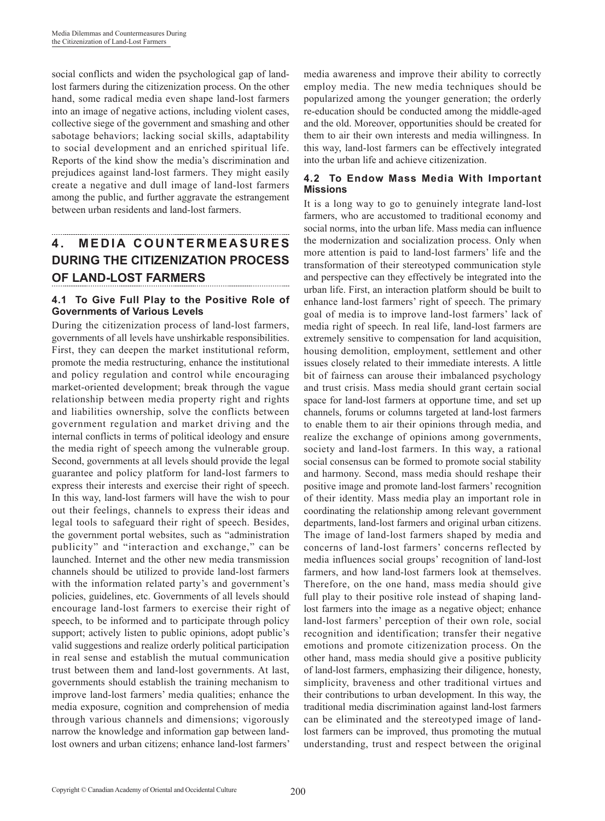social conflicts and widen the psychological gap of landlost farmers during the citizenization process. On the other hand, some radical media even shape land-lost farmers into an image of negative actions, including violent cases, collective siege of the government and smashing and other sabotage behaviors; lacking social skills, adaptability to social development and an enriched spiritual life. Reports of the kind show the media's discrimination and prejudices against land-lost farmers. They might easily create a negative and dull image of land-lost farmers among the public, and further aggravate the estrangement between urban residents and land-lost farmers.

# **4 . M E D I A C O U N T E R M E A S U R E S DURING THE CITIZENIZATION PROCESS OF LAND-LOST FARMERS**

#### **4.1 To Give Full Play to the Positive Role of Governments of Various Levels**

During the citizenization process of land-lost farmers, governments of all levels have unshirkable responsibilities. First, they can deepen the market institutional reform, promote the media restructuring, enhance the institutional and policy regulation and control while encouraging market-oriented development; break through the vague relationship between media property right and rights and liabilities ownership, solve the conflicts between government regulation and market driving and the internal conflicts in terms of political ideology and ensure the media right of speech among the vulnerable group. Second, governments at all levels should provide the legal guarantee and policy platform for land-lost farmers to express their interests and exercise their right of speech. In this way, land-lost farmers will have the wish to pour out their feelings, channels to express their ideas and legal tools to safeguard their right of speech. Besides, the government portal websites, such as "administration publicity" and "interaction and exchange," can be launched. Internet and the other new media transmission channels should be utilized to provide land-lost farmers with the information related party's and government's policies, guidelines, etc. Governments of all levels should encourage land-lost farmers to exercise their right of speech, to be informed and to participate through policy support; actively listen to public opinions, adopt public's valid suggestions and realize orderly political participation in real sense and establish the mutual communication trust between them and land-lost governments. At last, governments should establish the training mechanism to improve land-lost farmers' media qualities; enhance the media exposure, cognition and comprehension of media through various channels and dimensions; vigorously narrow the knowledge and information gap between landlost owners and urban citizens; enhance land-lost farmers'

media awareness and improve their ability to correctly employ media. The new media techniques should be popularized among the younger generation; the orderly re-education should be conducted among the middle-aged and the old. Moreover, opportunities should be created for them to air their own interests and media willingness. In this way, land-lost farmers can be effectively integrated into the urban life and achieve citizenization.

#### **4.2 To Endow Mass Media With Important Missions**

It is a long way to go to genuinely integrate land-lost farmers, who are accustomed to traditional economy and social norms, into the urban life. Mass media can influence the modernization and socialization process. Only when more attention is paid to land-lost farmers' life and the transformation of their stereotyped communication style and perspective can they effectively be integrated into the urban life. First, an interaction platform should be built to enhance land-lost farmers' right of speech. The primary goal of media is to improve land-lost farmers' lack of media right of speech. In real life, land-lost farmers are extremely sensitive to compensation for land acquisition, housing demolition, employment, settlement and other issues closely related to their immediate interests. A little bit of fairness can arouse their imbalanced psychology and trust crisis. Mass media should grant certain social space for land-lost farmers at opportune time, and set up channels, forums or columns targeted at land-lost farmers to enable them to air their opinions through media, and realize the exchange of opinions among governments, society and land-lost farmers. In this way, a rational social consensus can be formed to promote social stability and harmony. Second, mass media should reshape their positive image and promote land-lost farmers' recognition of their identity. Mass media play an important role in coordinating the relationship among relevant government departments, land-lost farmers and original urban citizens. The image of land-lost farmers shaped by media and concerns of land-lost farmers' concerns reflected by media influences social groups' recognition of land-lost farmers, and how land-lost farmers look at themselves. Therefore, on the one hand, mass media should give full play to their positive role instead of shaping landlost farmers into the image as a negative object; enhance land-lost farmers' perception of their own role, social recognition and identification; transfer their negative emotions and promote citizenization process. On the other hand, mass media should give a positive publicity of land-lost farmers, emphasizing their diligence, honesty, simplicity, braveness and other traditional virtues and their contributions to urban development. In this way, the traditional media discrimination against land-lost farmers can be eliminated and the stereotyped image of landlost farmers can be improved, thus promoting the mutual understanding, trust and respect between the original